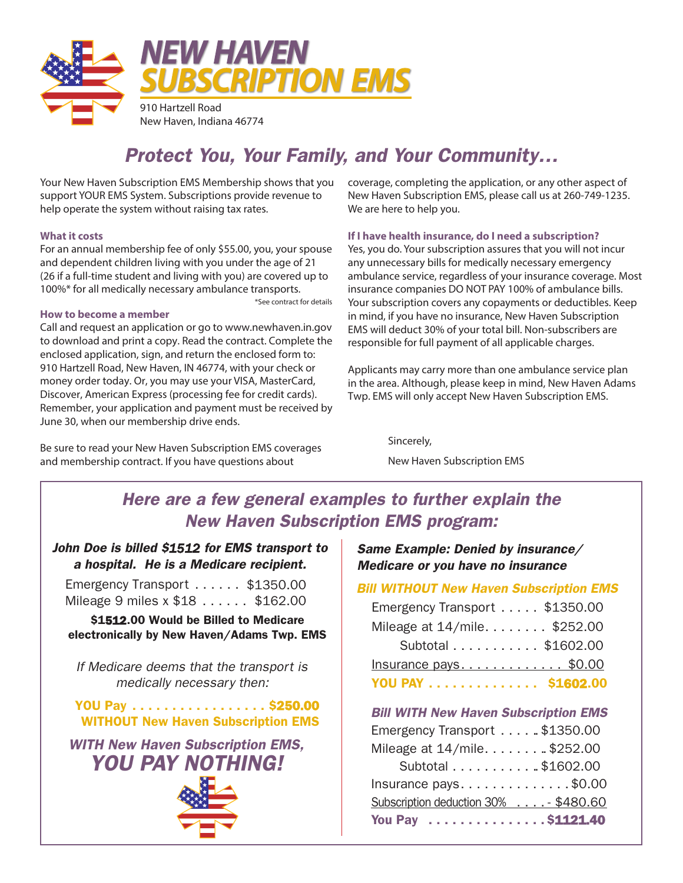

# *Protect You, Your Family, and Your Community…*

Your New Haven Subscription EMS Membership shows that you support YOUR EMS System. Subscriptions provide revenue to help operate the system without raising tax rates.

### **What it costs**

For an annual membership fee of only \$55.00, you, your spouse and dependent children living with you under the age of 21 (26 if a full-time student and living with you) are covered up to 100%\* for all medically necessary ambulance transports. \*See contract for details

### **How to become a member**

Call and request an application or go to www.newhaven.in.gov to download and print a copy. Read the contract. Complete the enclosed application, sign, and return the enclosed form to: 910 Hartzell Road, New Haven, IN 46774, with your check or money order today. Or, you may use your VISA, MasterCard, Discover, American Express (processing fee for credit cards). Remember, your application and payment must be received by June 30, when our membership drive ends.

Be sure to read your New Haven Subscription EMS coverages and membership contract. If you have questions about

coverage, completing the application, or any other aspect of New Haven Subscription EMS, please call us at 260-749-1235. We are here to help you.

**If I have health insurance, do I need a subscription?** Yes, you do. Your subscription assures that you will not incur any unnecessary bills for medically necessary emergency ambulance service, regardless of your insurance coverage. Most insurance companies DO NOT PAY 100% of ambulance bills. Your subscription covers any copayments or deductibles. Keep in mind, if you have no insurance, New Haven Subscription EMS will deduct 30% of your total bill. Non-subscribers are responsible for full payment of all applicable charges.

Applicants may carry more than one ambulance service plan in the area. Although, please keep in mind, New Haven Adams Twp. EMS will only accept New Haven Subscription EMS.

> Sincerely, New Haven Subscription EMS

# *Here are a few general examples to further explain the New Haven Subscription EMS program:*

# *John Doe is billed \$1512 for EMS transport to a hospital. He is a Medicare recipient.*

Emergency Transport . . . . . . \$1350.00 Mileage 9 miles x \$18 . . . . . . \$162.00

\$1512.00 Would be Billed to Medicare electronically by New Haven/Adams Twp. EMS

*If Medicare deems that the transport is medically necessary then:*

# YOU Pay ................. \$250.00 WITHOUT New Haven Subscription EMS

*WITH New Haven Subscription EMS, YOU PAY NOTHING!* 



# *Same Example: Denied by insurance/ Medicare or you have no insurance*

### *Bill WITHOUT New Haven Subscription EMS*

| YOU PAY \$1602.00              |
|--------------------------------|
| Insurance pays\$0.00           |
| Subtotal \$1602.00             |
| Mileage at 14/mile \$252.00    |
| Emergency Transport  \$1350.00 |

# *Bill WITH New Haven Subscription EMS*

| Emergency Transport \$1350.00                    |  |
|--------------------------------------------------|--|
| Mileage at 14/mile\$252.00                       |  |
| Subtotal \$1602.00                               |  |
| Insurance pays. $\dots \dots \dots \dots$ \$0.00 |  |
| Subscription deduction 30% - \$480.60            |  |
| You Pay \$1121.40                                |  |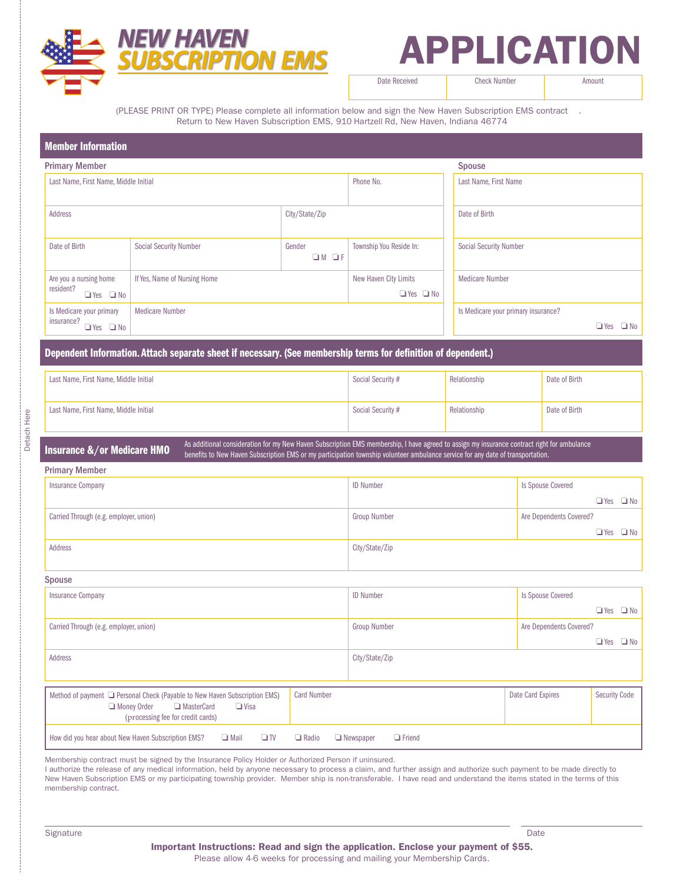

# APPLICATION

Date Received **Check Number** Amount

(PLEASE PRINT OR TYPE) Please complete all information below and sign the New Haven Subscription EMS contract . Return to New Haven Subscription EMS, 910 Hartzell Rd, New Haven, Indiana 46774

| <b>Member Information</b>                                      |                               |                   |                                               |  |                                                                |  |
|----------------------------------------------------------------|-------------------------------|-------------------|-----------------------------------------------|--|----------------------------------------------------------------|--|
| <b>Primary Member</b>                                          |                               |                   |                                               |  | Spouse                                                         |  |
| Last Name, First Name, Middle Initial                          |                               |                   | Phone No.                                     |  | Last Name, First Name                                          |  |
| Address                                                        |                               |                   | City/State/Zip                                |  | Date of Birth                                                  |  |
| Date of Birth                                                  | <b>Social Security Number</b> | Gender<br>$OM$ OF | Township You Reside In:                       |  | <b>Social Security Number</b>                                  |  |
| Are you a nursing home<br>resident?<br>$Yes$ $\Box$ No         | If Yes, Name of Nursing Home  |                   | New Haven City Limits<br>$\Box$ Yes $\Box$ No |  | <b>Medicare Number</b>                                         |  |
| Is Medicare your primary<br>insurance?<br>$\Box$ Yes $\Box$ No | <b>Medicare Number</b>        |                   |                                               |  | Is Medicare your primary insurance?<br>$\Box$ No<br>$\Box$ Yes |  |

### Dependent Information. Attach separate sheet if necessary. (See membership terms for definition of dependent.)

| Last Name, First Name, Middle Initial | Social Security # | Relationship | Date of Birth |
|---------------------------------------|-------------------|--------------|---------------|
| Last Name, First Name, Middle Initial | Social Security # | Relationship | Date of Birth |

### Insurance &/or Medicare HMO<br>Insurance &/or Medicare HMO benefits to New Haven Subscription EMS or my participation township volunteer ambulance senice for any date of transportation benefits to New Haven Subscription EMS or my participation township volunteer ambulance service for any date of transportation.

| <b>Insurance Company</b>               | <b>ID Number</b>    | Is Spouse Covered       |
|----------------------------------------|---------------------|-------------------------|
|                                        |                     | $Yes$ $\Box$ No         |
| Carried Through (e.g. employer, union) | <b>Group Number</b> | Are Dependents Covered? |
|                                        |                     | $Yes$ $\Box$ No         |
| Address                                | City/State/Zip      |                         |
|                                        |                     |                         |

### Spouse

Primary Member

| <b>Spouse</b>                                                                                                                                                      |                    |                     |                         |                      |  |  |  |  |
|--------------------------------------------------------------------------------------------------------------------------------------------------------------------|--------------------|---------------------|-------------------------|----------------------|--|--|--|--|
| <b>Insurance Company</b>                                                                                                                                           |                    | <b>ID Number</b>    | Is Spouse Covered       |                      |  |  |  |  |
|                                                                                                                                                                    |                    |                     |                         | $Yes$ $\Box$ No      |  |  |  |  |
| Carried Through (e.g. employer, union)                                                                                                                             |                    | <b>Group Number</b> | Are Dependents Covered? |                      |  |  |  |  |
|                                                                                                                                                                    |                    |                     |                         | $Yes$ $\Box$ No      |  |  |  |  |
| Address                                                                                                                                                            |                    | City/State/Zip      |                         |                      |  |  |  |  |
|                                                                                                                                                                    |                    |                     |                         |                      |  |  |  |  |
| Method of payment <b>D</b> Personal Check (Payable to New Haven Subscription EMS)<br>Money Order<br>$\Box$ Visa<br>MasterCard<br>(processing fee for credit cards) | <b>Card Number</b> |                     | Date Card Expires       | <b>Security Code</b> |  |  |  |  |
|                                                                                                                                                                    |                    |                     |                         |                      |  |  |  |  |

Membership contract must be signed by the Insurance Policy Holder or Authorized Person if uninsured.

How did you hear about New Haven Subscription EMS?  $\Box$  Mail  $\Box$  TV  $\Box$  Radio  $\Box$  Newspaper  $\Box$  Friend

I authorize the release of any medical information, held by anyone necessary to process a claim, and further assign and authorize such payment to be made directly to New Haven Subscription EMS or my participating township provider. Member ship is non-transferable. I have read and understand the items stated in the terms of this membership contract.

Signature **Date**